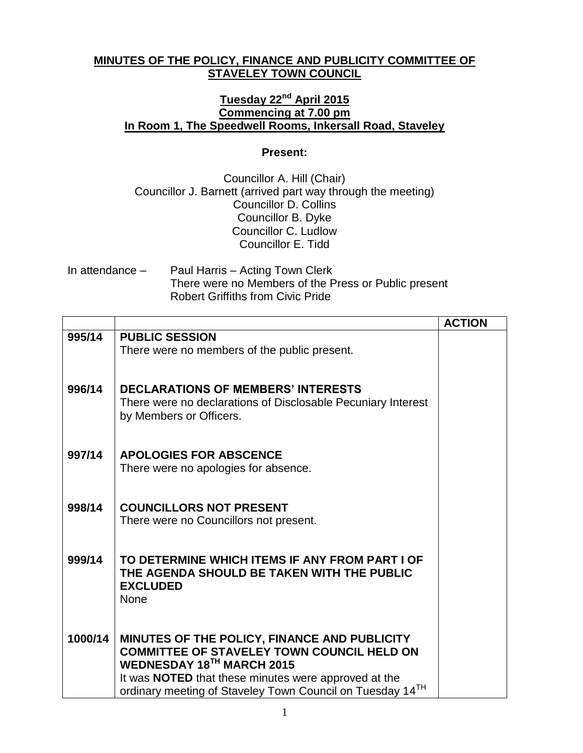## **MINUTES OF THE POLICY, FINANCE AND PUBLICITY COMMITTEE OF STAVELEY TOWN COUNCIL**

## **Tuesday 22nd April 2015 Commencing at 7.00 pm In Room 1, The Speedwell Rooms, Inkersall Road, Staveley**

## **Present:**

Councillor A. Hill (Chair) Councillor J. Barnett (arrived part way through the meeting) Councillor D. Collins Councillor B. Dyke Councillor C. Ludlow Councillor E. Tidd

In attendance – Paul Harris – Acting Town Clerk There were no Members of the Press or Public present Robert Griffiths from Civic Pride

|         |                                                                                                                          | <b>ACTION</b> |
|---------|--------------------------------------------------------------------------------------------------------------------------|---------------|
| 995/14  | <b>PUBLIC SESSION</b><br>There were no members of the public present.                                                    |               |
|         |                                                                                                                          |               |
| 996/14  | <b>DECLARATIONS OF MEMBERS' INTERESTS</b>                                                                                |               |
|         | There were no declarations of Disclosable Pecuniary Interest<br>by Members or Officers.                                  |               |
| 997/14  | <b>APOLOGIES FOR ABSCENCE</b>                                                                                            |               |
|         | There were no apologies for absence.                                                                                     |               |
| 998/14  | <b>COUNCILLORS NOT PRESENT</b>                                                                                           |               |
|         | There were no Councillors not present.                                                                                   |               |
|         |                                                                                                                          |               |
| 999/14  | TO DETERMINE WHICH ITEMS IF ANY FROM PART I OF<br>THE AGENDA SHOULD BE TAKEN WITH THE PUBLIC                             |               |
|         | <b>EXCLUDED</b><br>None                                                                                                  |               |
|         |                                                                                                                          |               |
| 1000/14 | MINUTES OF THE POLICY, FINANCE AND PUBLICITY<br><b>COMMITTEE OF STAVELEY TOWN COUNCIL HELD ON</b>                        |               |
|         | WEDNESDAY 18TH MARCH 2015                                                                                                |               |
|         | It was <b>NOTED</b> that these minutes were approved at the<br>ordinary meeting of Staveley Town Council on Tuesday 14TH |               |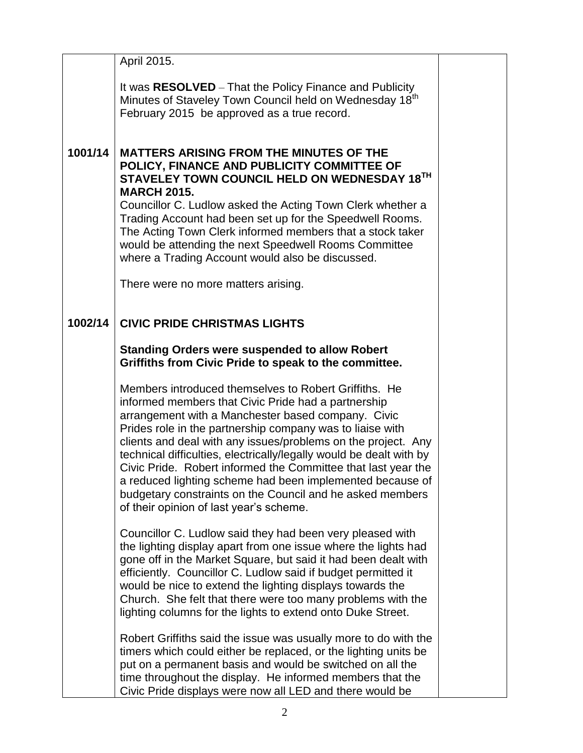|         | April 2015.                                                                                                                                                                                                                                                                                                                                                                                                                                                                                                                                                                                                   |  |
|---------|---------------------------------------------------------------------------------------------------------------------------------------------------------------------------------------------------------------------------------------------------------------------------------------------------------------------------------------------------------------------------------------------------------------------------------------------------------------------------------------------------------------------------------------------------------------------------------------------------------------|--|
|         | It was RESOLVED - That the Policy Finance and Publicity                                                                                                                                                                                                                                                                                                                                                                                                                                                                                                                                                       |  |
|         | Minutes of Staveley Town Council held on Wednesday 18 <sup>th</sup><br>February 2015 be approved as a true record.                                                                                                                                                                                                                                                                                                                                                                                                                                                                                            |  |
|         |                                                                                                                                                                                                                                                                                                                                                                                                                                                                                                                                                                                                               |  |
| 1001/14 | <b>MATTERS ARISING FROM THE MINUTES OF THE</b><br>POLICY, FINANCE AND PUBLICITY COMMITTEE OF<br>STAVELEY TOWN COUNCIL HELD ON WEDNESDAY 18TH<br><b>MARCH 2015.</b><br>Councillor C. Ludlow asked the Acting Town Clerk whether a<br>Trading Account had been set up for the Speedwell Rooms.<br>The Acting Town Clerk informed members that a stock taker<br>would be attending the next Speedwell Rooms Committee<br>where a Trading Account would also be discussed.<br>There were no more matters arising.                                                                                                 |  |
| 1002/14 | <b>CIVIC PRIDE CHRISTMAS LIGHTS</b>                                                                                                                                                                                                                                                                                                                                                                                                                                                                                                                                                                           |  |
|         | <b>Standing Orders were suspended to allow Robert</b><br>Griffiths from Civic Pride to speak to the committee.                                                                                                                                                                                                                                                                                                                                                                                                                                                                                                |  |
|         | Members introduced themselves to Robert Griffiths. He<br>informed members that Civic Pride had a partnership<br>arrangement with a Manchester based company. Civic<br>Prides role in the partnership company was to liaise with<br>clients and deal with any issues/problems on the project. Any<br>technical difficulties, electrically/legally would be dealt with by<br>Civic Pride. Robert informed the Committee that last year the<br>a reduced lighting scheme had been implemented because of<br>budgetary constraints on the Council and he asked members<br>of their opinion of last year's scheme. |  |
|         | Councillor C. Ludlow said they had been very pleased with<br>the lighting display apart from one issue where the lights had<br>gone off in the Market Square, but said it had been dealt with<br>efficiently. Councillor C. Ludlow said if budget permitted it<br>would be nice to extend the lighting displays towards the<br>Church. She felt that there were too many problems with the<br>lighting columns for the lights to extend onto Duke Street.                                                                                                                                                     |  |
|         | Robert Griffiths said the issue was usually more to do with the<br>timers which could either be replaced, or the lighting units be<br>put on a permanent basis and would be switched on all the<br>time throughout the display. He informed members that the<br>Civic Pride displays were now all LED and there would be                                                                                                                                                                                                                                                                                      |  |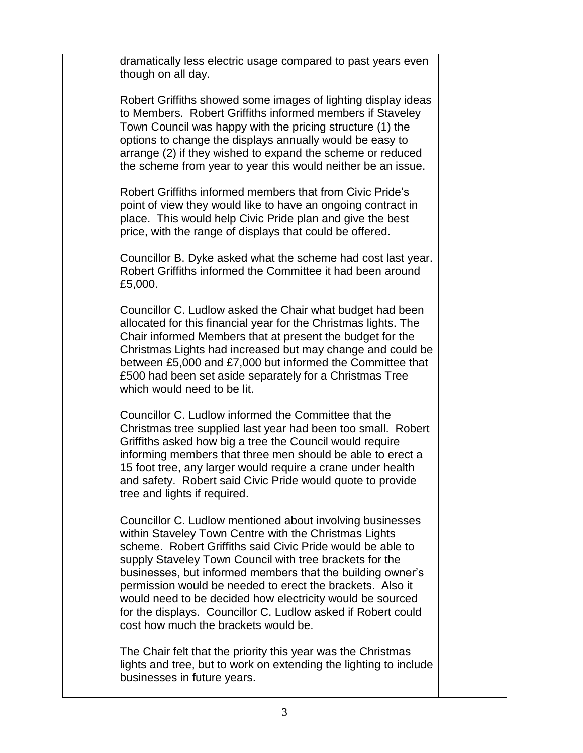dramatically less electric usage compared to past years even though on all day.

Robert Griffiths showed some images of lighting display ideas to Members. Robert Griffiths informed members if Staveley Town Council was happy with the pricing structure (1) the options to change the displays annually would be easy to arrange (2) if they wished to expand the scheme or reduced the scheme from year to year this would neither be an issue.

Robert Griffiths informed members that from Civic Pride's point of view they would like to have an ongoing contract in place. This would help Civic Pride plan and give the best price, with the range of displays that could be offered.

Councillor B. Dyke asked what the scheme had cost last year. Robert Griffiths informed the Committee it had been around £5,000.

Councillor C. Ludlow asked the Chair what budget had been allocated for this financial year for the Christmas lights. The Chair informed Members that at present the budget for the Christmas Lights had increased but may change and could be between £5,000 and £7,000 but informed the Committee that £500 had been set aside separately for a Christmas Tree which would need to be lit.

Councillor C. Ludlow informed the Committee that the Christmas tree supplied last year had been too small. Robert Griffiths asked how big a tree the Council would require informing members that three men should be able to erect a 15 foot tree, any larger would require a crane under health and safety. Robert said Civic Pride would quote to provide tree and lights if required.

Councillor C. Ludlow mentioned about involving businesses within Staveley Town Centre with the Christmas Lights scheme. Robert Griffiths said Civic Pride would be able to supply Staveley Town Council with tree brackets for the businesses, but informed members that the building owner's permission would be needed to erect the brackets. Also it would need to be decided how electricity would be sourced for the displays. Councillor C. Ludlow asked if Robert could cost how much the brackets would be.

The Chair felt that the priority this year was the Christmas lights and tree, but to work on extending the lighting to include businesses in future years.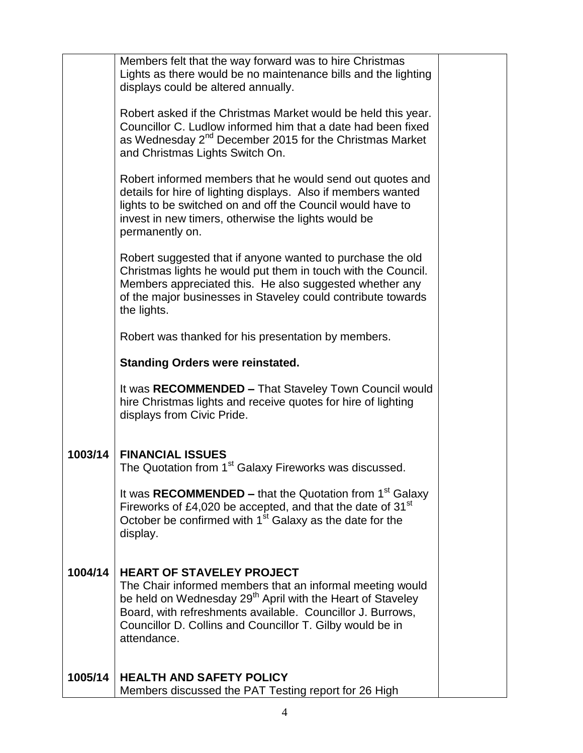|         | Members felt that the way forward was to hire Christmas<br>Lights as there would be no maintenance bills and the lighting<br>displays could be altered annually.                                                                                                                                                  |  |  |  |
|---------|-------------------------------------------------------------------------------------------------------------------------------------------------------------------------------------------------------------------------------------------------------------------------------------------------------------------|--|--|--|
|         | Robert asked if the Christmas Market would be held this year.<br>Councillor C. Ludlow informed him that a date had been fixed<br>as Wednesday 2 <sup>nd</sup> December 2015 for the Christmas Market<br>and Christmas Lights Switch On.                                                                           |  |  |  |
|         | Robert informed members that he would send out quotes and<br>details for hire of lighting displays. Also if members wanted<br>lights to be switched on and off the Council would have to<br>invest in new timers, otherwise the lights would be<br>permanently on.                                                |  |  |  |
|         | Robert suggested that if anyone wanted to purchase the old<br>Christmas lights he would put them in touch with the Council.<br>Members appreciated this. He also suggested whether any<br>of the major businesses in Staveley could contribute towards<br>the lights.                                             |  |  |  |
|         | Robert was thanked for his presentation by members.                                                                                                                                                                                                                                                               |  |  |  |
|         | <b>Standing Orders were reinstated.</b>                                                                                                                                                                                                                                                                           |  |  |  |
|         | It was RECOMMENDED - That Staveley Town Council would<br>hire Christmas lights and receive quotes for hire of lighting<br>displays from Civic Pride.                                                                                                                                                              |  |  |  |
| 1003/14 | <b>FINANCIAL ISSUES</b><br>The Quotation from 1 <sup>st</sup> Galaxy Fireworks was discussed.                                                                                                                                                                                                                     |  |  |  |
|         | It was RECOMMENDED - that the Quotation from 1 <sup>st</sup> Galaxy<br>Fireworks of £4,020 be accepted, and that the date of 31 <sup>st</sup><br>October be confirmed with 1 <sup>st</sup> Galaxy as the date for the<br>display.                                                                                 |  |  |  |
| 1004/14 | <b>HEART OF STAVELEY PROJECT</b><br>The Chair informed members that an informal meeting would<br>be held on Wednesday 29 <sup>th</sup> April with the Heart of Staveley<br>Board, with refreshments available. Councillor J. Burrows,<br>Councillor D. Collins and Councillor T. Gilby would be in<br>attendance. |  |  |  |
| 1005/14 | <b>HEALTH AND SAFETY POLICY</b><br>Members discussed the PAT Testing report for 26 High                                                                                                                                                                                                                           |  |  |  |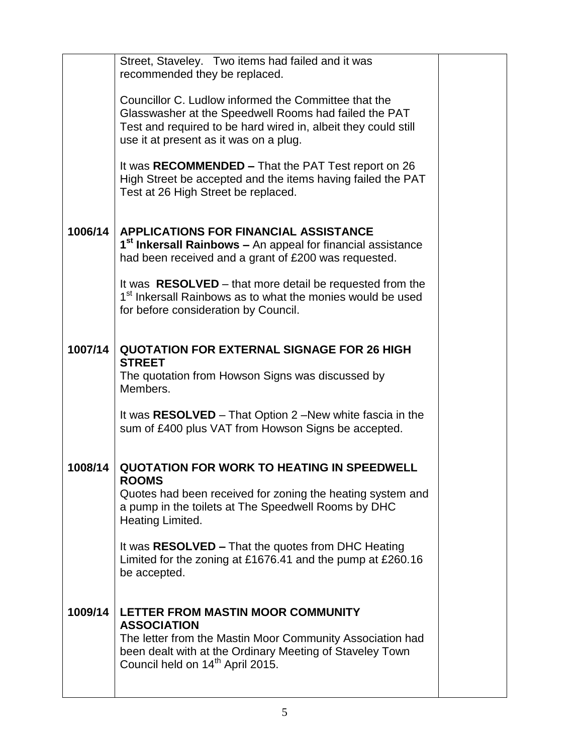|         | Street, Staveley. Two items had failed and it was<br>recommended they be replaced.                                                                                                                                               |  |
|---------|----------------------------------------------------------------------------------------------------------------------------------------------------------------------------------------------------------------------------------|--|
|         | Councillor C. Ludlow informed the Committee that the<br>Glasswasher at the Speedwell Rooms had failed the PAT                                                                                                                    |  |
|         | Test and required to be hard wired in, albeit they could still<br>use it at present as it was on a plug.                                                                                                                         |  |
|         | It was RECOMMENDED – That the PAT Test report on 26<br>High Street be accepted and the items having failed the PAT<br>Test at 26 High Street be replaced.                                                                        |  |
| 1006/14 | <b>APPLICATIONS FOR FINANCIAL ASSISTANCE</b><br>1 <sup>st</sup> Inkersall Rainbows – An appeal for financial assistance<br>had been received and a grant of £200 was requested.                                                  |  |
|         | It was <b>RESOLVED</b> – that more detail be requested from the<br>1 <sup>st</sup> Inkersall Rainbows as to what the monies would be used<br>for before consideration by Council.                                                |  |
| 1007/14 | <b>QUOTATION FOR EXTERNAL SIGNAGE FOR 26 HIGH</b><br><b>STREET</b>                                                                                                                                                               |  |
|         | The quotation from Howson Signs was discussed by<br>Members.                                                                                                                                                                     |  |
|         | It was RESOLVED – That Option 2 – New white fascia in the<br>sum of £400 plus VAT from Howson Signs be accepted.                                                                                                                 |  |
| 1008/14 | <b>QUOTATION FOR WORK TO HEATING IN SPEEDWELL</b><br><b>ROOMS</b>                                                                                                                                                                |  |
|         | Quotes had been received for zoning the heating system and<br>a pump in the toilets at The Speedwell Rooms by DHC<br>Heating Limited.                                                                                            |  |
|         | It was RESOLVED - That the quotes from DHC Heating<br>Limited for the zoning at £1676.41 and the pump at £260.16<br>be accepted.                                                                                                 |  |
| 1009/14 | LETTER FROM MASTIN MOOR COMMUNITY<br><b>ASSOCIATION</b><br>The letter from the Mastin Moor Community Association had<br>been dealt with at the Ordinary Meeting of Staveley Town<br>Council held on 14 <sup>th</sup> April 2015. |  |
|         |                                                                                                                                                                                                                                  |  |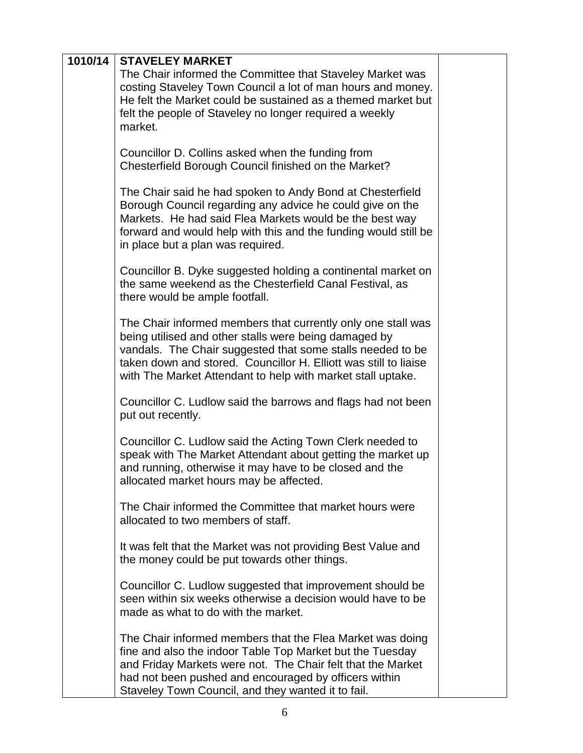| 1010/14<br><b>STAVELEY MARKET</b><br>The Chair informed the Committee that Staveley Market was<br>costing Staveley Town Council a lot of man hours and money.<br>He felt the Market could be sustained as a themed market but<br>felt the people of Staveley no longer required a weekly<br>market.<br>Councillor D. Collins asked when the funding from<br>Chesterfield Borough Council finished on the Market? |
|------------------------------------------------------------------------------------------------------------------------------------------------------------------------------------------------------------------------------------------------------------------------------------------------------------------------------------------------------------------------------------------------------------------|
|                                                                                                                                                                                                                                                                                                                                                                                                                  |
|                                                                                                                                                                                                                                                                                                                                                                                                                  |
|                                                                                                                                                                                                                                                                                                                                                                                                                  |
|                                                                                                                                                                                                                                                                                                                                                                                                                  |
|                                                                                                                                                                                                                                                                                                                                                                                                                  |
|                                                                                                                                                                                                                                                                                                                                                                                                                  |
|                                                                                                                                                                                                                                                                                                                                                                                                                  |
|                                                                                                                                                                                                                                                                                                                                                                                                                  |
|                                                                                                                                                                                                                                                                                                                                                                                                                  |
| The Chair said he had spoken to Andy Bond at Chesterfield                                                                                                                                                                                                                                                                                                                                                        |
| Borough Council regarding any advice he could give on the                                                                                                                                                                                                                                                                                                                                                        |
| Markets. He had said Flea Markets would be the best way                                                                                                                                                                                                                                                                                                                                                          |
| forward and would help with this and the funding would still be                                                                                                                                                                                                                                                                                                                                                  |
| in place but a plan was required.                                                                                                                                                                                                                                                                                                                                                                                |
|                                                                                                                                                                                                                                                                                                                                                                                                                  |
| Councillor B. Dyke suggested holding a continental market on                                                                                                                                                                                                                                                                                                                                                     |
| the same weekend as the Chesterfield Canal Festival, as                                                                                                                                                                                                                                                                                                                                                          |
| there would be ample footfall.                                                                                                                                                                                                                                                                                                                                                                                   |
|                                                                                                                                                                                                                                                                                                                                                                                                                  |
| The Chair informed members that currently only one stall was                                                                                                                                                                                                                                                                                                                                                     |
| being utilised and other stalls were being damaged by                                                                                                                                                                                                                                                                                                                                                            |
| vandals. The Chair suggested that some stalls needed to be                                                                                                                                                                                                                                                                                                                                                       |
| taken down and stored. Councillor H. Elliott was still to liaise                                                                                                                                                                                                                                                                                                                                                 |
| with The Market Attendant to help with market stall uptake.                                                                                                                                                                                                                                                                                                                                                      |
| Councillor C. Ludlow said the barrows and flags had not been                                                                                                                                                                                                                                                                                                                                                     |
| put out recently.                                                                                                                                                                                                                                                                                                                                                                                                |
|                                                                                                                                                                                                                                                                                                                                                                                                                  |
| Councillor C. Ludlow said the Acting Town Clerk needed to                                                                                                                                                                                                                                                                                                                                                        |
| speak with The Market Attendant about getting the market up                                                                                                                                                                                                                                                                                                                                                      |
| and running, otherwise it may have to be closed and the                                                                                                                                                                                                                                                                                                                                                          |
| allocated market hours may be affected.                                                                                                                                                                                                                                                                                                                                                                          |
|                                                                                                                                                                                                                                                                                                                                                                                                                  |
| The Chair informed the Committee that market hours were                                                                                                                                                                                                                                                                                                                                                          |
| allocated to two members of staff.                                                                                                                                                                                                                                                                                                                                                                               |
|                                                                                                                                                                                                                                                                                                                                                                                                                  |
| It was felt that the Market was not providing Best Value and                                                                                                                                                                                                                                                                                                                                                     |
| the money could be put towards other things.                                                                                                                                                                                                                                                                                                                                                                     |
|                                                                                                                                                                                                                                                                                                                                                                                                                  |
| Councillor C. Ludlow suggested that improvement should be<br>seen within six weeks otherwise a decision would have to be                                                                                                                                                                                                                                                                                         |
| made as what to do with the market.                                                                                                                                                                                                                                                                                                                                                                              |
|                                                                                                                                                                                                                                                                                                                                                                                                                  |
| The Chair informed members that the Flea Market was doing                                                                                                                                                                                                                                                                                                                                                        |
| fine and also the indoor Table Top Market but the Tuesday                                                                                                                                                                                                                                                                                                                                                        |
| and Friday Markets were not. The Chair felt that the Market                                                                                                                                                                                                                                                                                                                                                      |
| had not been pushed and encouraged by officers within                                                                                                                                                                                                                                                                                                                                                            |
| Staveley Town Council, and they wanted it to fail.                                                                                                                                                                                                                                                                                                                                                               |